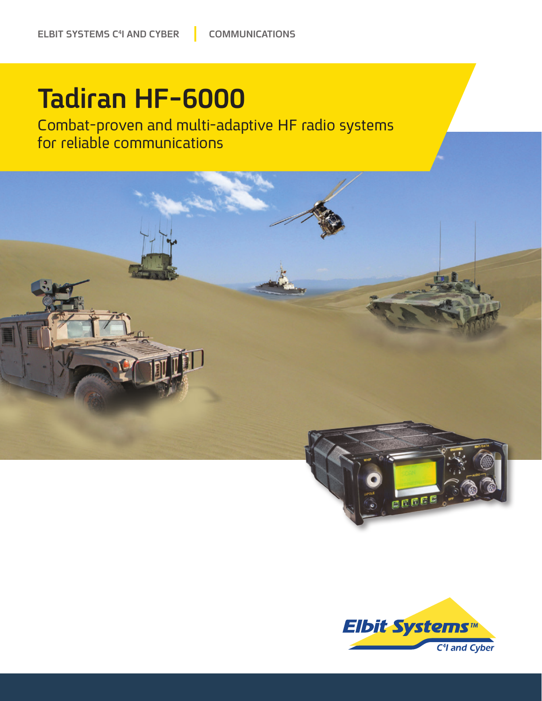## Tadiran HF-6000

Combat-proven and multi-adaptive HF radio systems for reliable communications



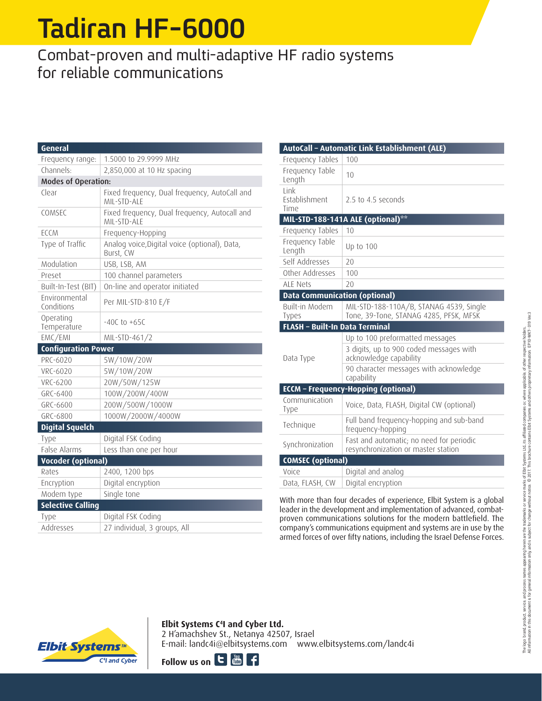# Tadiran HF-6000

### Combat-proven and multi-adaptive HF radio systems for reliable communications

| General                     |                                                              |
|-----------------------------|--------------------------------------------------------------|
| Frequency range:            | 1.5000 to 29.9999 MHz                                        |
| Channels:                   | 2,850,000 at 10 Hz spacing                                   |
| Modes of Operation:         |                                                              |
| Clear                       | Fixed frequency, Dual frequency, AutoCall and<br>MII-STD-ALF |
| COMSEC                      | Fixed frequency, Dual frequency, Autocall and<br>MII-STD-ALF |
| <b>ECCM</b>                 | Frequency-Hopping                                            |
| Type of Traffic             | Analog voice, Digital voice (optional), Data,<br>Burst, CW   |
| Modulation                  | USB, LSB, AM                                                 |
| Preset                      | 100 channel parameters                                       |
| Built-In-Test (BIT)         | On-line and operator initiated                               |
| Environmental<br>Conditions | Per MIL-STD-810 E/F                                          |
| Operating<br>Temperature    | $-40C$ to $+65C$                                             |
| EMC/EMI                     | MIL-STD-461/2                                                |
| <b>Configuration Power</b>  |                                                              |
| PRC-6020                    | 5W/10W/20W                                                   |
| VRC-6020                    | 5W/10W/20W                                                   |
| <b>VRC-6200</b>             | 20W/50W/125W                                                 |
| GRC-6400                    | 100W/200W/400W                                               |
| GRC-6600                    | 200W/500W/1000W                                              |
| GRC-6800                    | 1000W/2000W/4000W                                            |
| <b>Digital Squelch</b>      |                                                              |
| Type                        | Digital FSK Coding                                           |
| False Alarms                | Less than one per hour                                       |
| <b>Vocoder (optional)</b>   |                                                              |
| Rates                       | 2400, 1200 bps                                               |
| Encryption                  | Digital encryption                                           |
| Modem type                  | Single tone                                                  |
| <b>Selective Calling</b>    |                                                              |
| Type                        | Digital FSK Coding                                           |
| Addresses                   | 27 individual, 3 groups, All                                 |

|                                             | AutoCall - Automatic Link Establishment (ALE)                                     |
|---------------------------------------------|-----------------------------------------------------------------------------------|
| Frequency Tables                            | 100                                                                               |
| Frequency Table<br>Length                   | 10                                                                                |
| <b>Link</b><br><b>Establishment</b><br>Time | 2.5 to 4.5 seconds                                                                |
|                                             | MIL-STD-188-141A ALE (optional) <sup>**</sup>                                     |
| Frequency Tables                            | 10                                                                                |
| Frequency Table<br>Length                   | Up to 100                                                                         |
| Self Addresses                              | 20                                                                                |
| Other Addresses                             | 100                                                                               |
| ALF Nets                                    | 20                                                                                |
| <b>Data Communication (optional)</b>        |                                                                                   |
| Built-in Modem<br>Types                     | MIL-STD-188-110A/B, STANAG 4539, Single<br>Tone, 39-Tone, STANAG 4285, PFSK, MFSK |
|                                             |                                                                                   |
| <b>FLASH - Built-In Data Terminal</b>       |                                                                                   |
|                                             | Up to 100 preformatted messages                                                   |
| Data Type                                   | 3 digits, up to 900 coded messages with<br>acknowledge capability                 |
|                                             | 90 character messages with acknowledge<br>capability                              |
|                                             | <b>ECCM</b> - Frequency-Hopping (optional)                                        |
| Communication<br>Type                       | Voice, Data, FLASH, Digital CW (optional)                                         |
| Technique                                   | Full band frequency-hopping and sub-band<br>frequency-hopping                     |
| Synchronization                             | Fast and automatic; no need for periodic<br>resynchronization or master station   |
| <b>COMSEC (optional)</b>                    |                                                                                   |
| Voice                                       | Digital and analog<br>Digital encryption                                          |

With more than four decades of experience, Elbit System is a global proven communications solutions for the modern battlefield. The leader in the development and implementation of advanced, combatcompany's communications equipment and systems are in use by the armed forces of over fifty nations, including the Israel Defense Forces.



### **Elbit Systems C<sup>4</sup>I and Cyber Ltd.**

2 H'amachshev St., Netanya 42507, Israel E-mail: landc4i@elbitsystems.com www.elbitsystems.com/landc4i

Follow us on  $\mathbf{C}$   $\mathbf{C}$   $\mathbf{C}$  **c**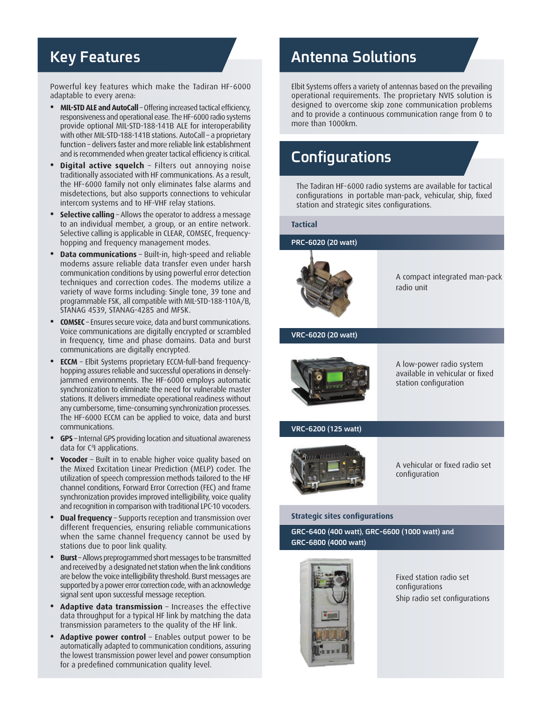### **Key Features**

Powerful key features which make the Tadiran HF-6000 adaptable to every arena:

- MIL-STD ALE and AutoCall Offering increased tactical efficiency, responsiveness and operational ease. The HF-6000 radio systems provide optional MIL-STD-188-141B ALE for interoperability with other MIL-STD-188-141B stations. AutoCall - a proprietary function - delivers faster and more reliable link establishment and is recommended when greater tactical efficiency is critical.
- Digital active squelch Filters out annoying noise traditionally associated with HF communications. As a result, the HF-6000 family not only eliminates false alarms and misdetections, but also supports connections to vehicular intercom systems and to HF-VHF relay stations.
- **Selective calling** Allows the operator to address a message to an individual member, a group, or an entire network. Selective calling is applicable in CLEAR, COMSEC, frequency-<br>hopping and frequency management modes.
- **Data communications** Built-in, high-speed and reliable modems assure reliable data transfer even under harsh communication conditions by using powerful error detection techniques and correction codes. The modems utilize a variety of wave forms including: Single tone, 39 tone and programmable FSK, all compatible with MIL-STD-188-110A/B, STANAG 4539, STANAG-4285 and MFSK.
- **COMSEC** Ensures secure voice, data and burst communications. Voice communications are digitally encrypted or scrambled in frequency, time and phase domains. Data and burst communications are digitally encrypted.
- jammed environments. The HF-6000 employs automatic hopping assures reliable and successful operations in densely-**• ECCM** - Elbit Systems proprietary ECCM-full-band frequencysynchronization to eliminate the need for vulnerable master stations. It delivers immediate operational readiness without any cumbersome, time-consuming synchronization processes. The HF-6000 ECCM can be applied to voice, data and burst .communications
- **GPS** Internal GPS providing location and situational awareness data for C<sup>4</sup>I applications.
- Vocoder Built in to enable higher voice quality based on the Mixed Excitation Linear Prediction (MELP) coder. The utilization of speech compression methods tailored to the HF channel conditions, Forward Error Correction (FEC) and frame synchronization provides improved intelligibility, voice quality and recognition in comparison with traditional LPC-10 vocoders.
- **Dual frequency** Supports reception and transmission over different frequencies, ensuring reliable communications when the same channel frequency cannot be used by stations due to poor link quality.
- **Burst** Allows preprogrammed short messages to be transmitted and received by a designated net station when the link conditions are below the voice intelligibility threshold. Burst messages are supported by a power error correction code, with an acknowledge signal sent upon successful message reception.
- **Adaptive data transmission** Increases the effective data throughput for a typical HF link by matching the data transmission parameters to the quality of the HF link.
- **Adaptive power control** Enables output power to be automatically adapted to communication conditions, assuring the lowest transmission power level and power consumption for a predefined communication quality level.

### **Solutions Antenna**

Elbit Systems offers a variety of antennas based on the prevailing operational requirements. The proprietary NVIS solution is designed to overcome skip zone communication problems and to provide a continuous communication range from 0 to more than 1000km.

### **Configurations**

The Tadiran HF-6000 radio systems are available for tactical configurations in portable man-pack, vehicular, ship, fixed station and strategic sites configurations.

#### **Tactical**

**(PRC-6020 (20 watt)** 



A compact integrated man-pack radio unit

#### **VRC-6020 (20 watt)**



A low-power radio system available in vehicular or fixed station configuration

#### **VRC-6200 (125 watt)**



A vehicular or fixed radio set configuration

#### **strategic sites configurations**

**GRC-6400 (400 watt), GRC-6600 (1000 watt) and**  $GRC - 6800 (4000 \text{ Watt})$ 



Fixed station radio set configurations Ship radio set configurations